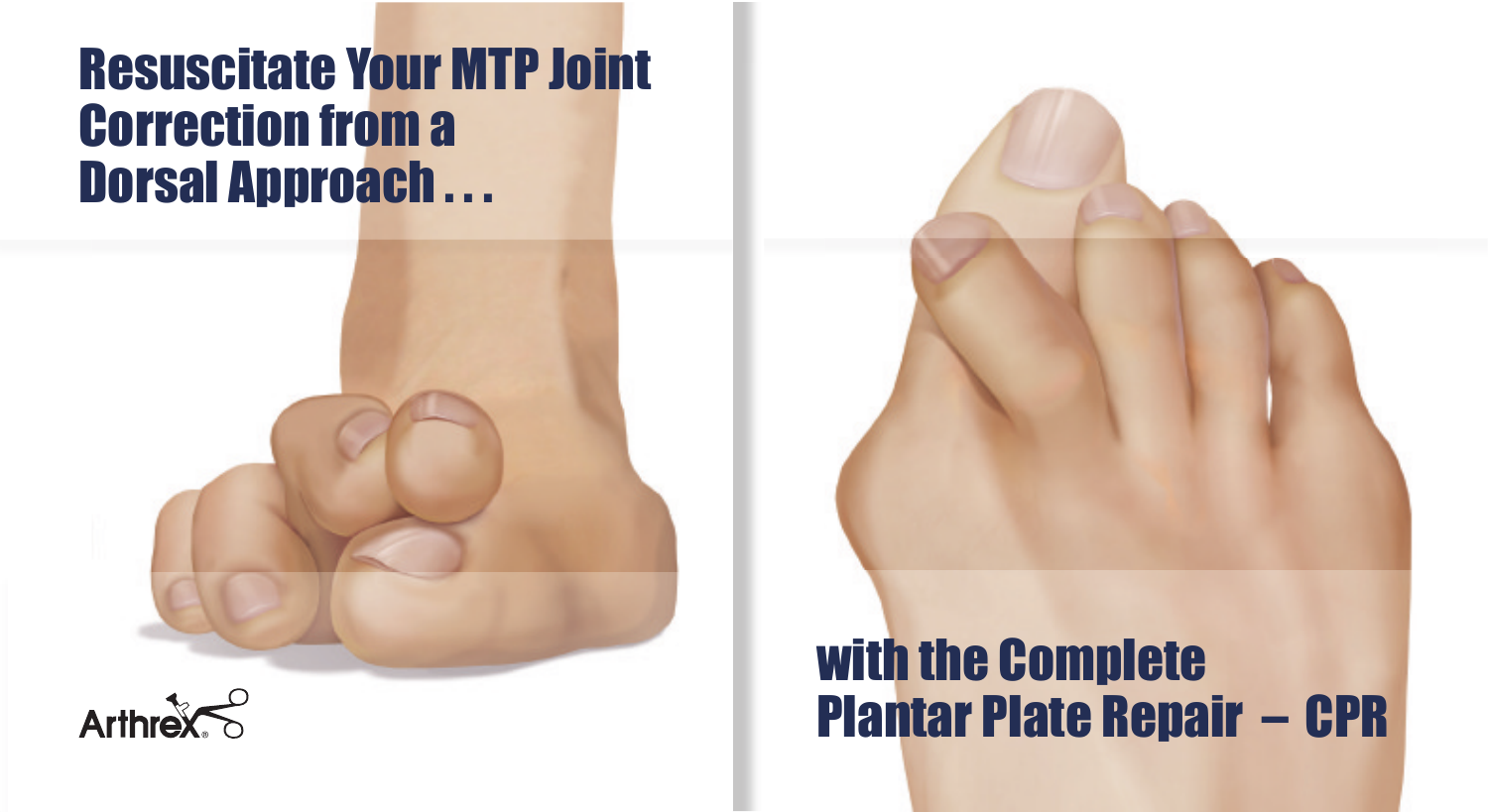## **Resuscitate Your MTP Joint Correction from a Dorsal Approach...**





# with the Complete **Plantar Plate Repair - CPR**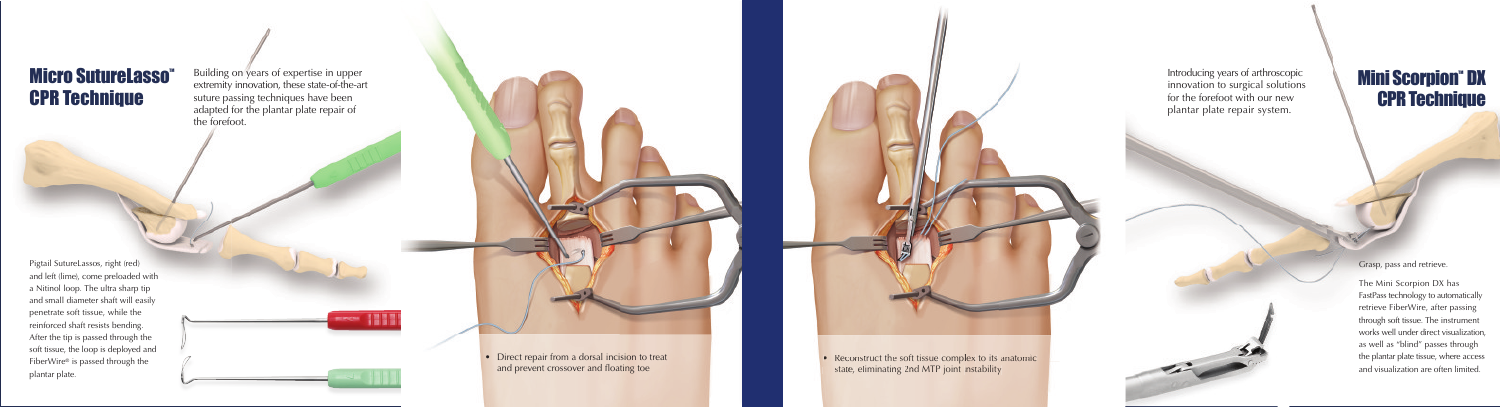Pigtail SutureLassos, right (red) and left (lime), come preloaded with a Nitinol loop. The ultra sharp tip and small diameter shaft will easily penetrate soft tissue, while the reinforced shaft resists bending. After the tip is passed through the soft tissue, the loop is deployed and FiberWire® is passed through the plantar plate.





 $\bullet$  Direct repair from a dorsal incision to treat and prevent crossover and floating toe



• Reconstruct the soft tissue complex to its anatomic state, eliminating 2nd MTP joint instability

Grasp, pass and retrieve.

The Mini Scorpion DX has FastPass technology to automatically retrieve FiberWire, after passing through soft tissue. The instrument works well under direct visualization, as well as "blind" passes through the plantar plate tissue, where access and visualization are often limited.

#### **Micro SutureLasso CPR Technique**

Building on years of expertise in upper extremity innovation, these state-of-the-art suture passing techniques have been adapted for the plantar plate repair of the forefoot.

Introducing years of arthroscopic innovation to surgical solutions for the forefoot with our new plantar plate repair system.

#### **Mini Scorpion" DX CPR Technique**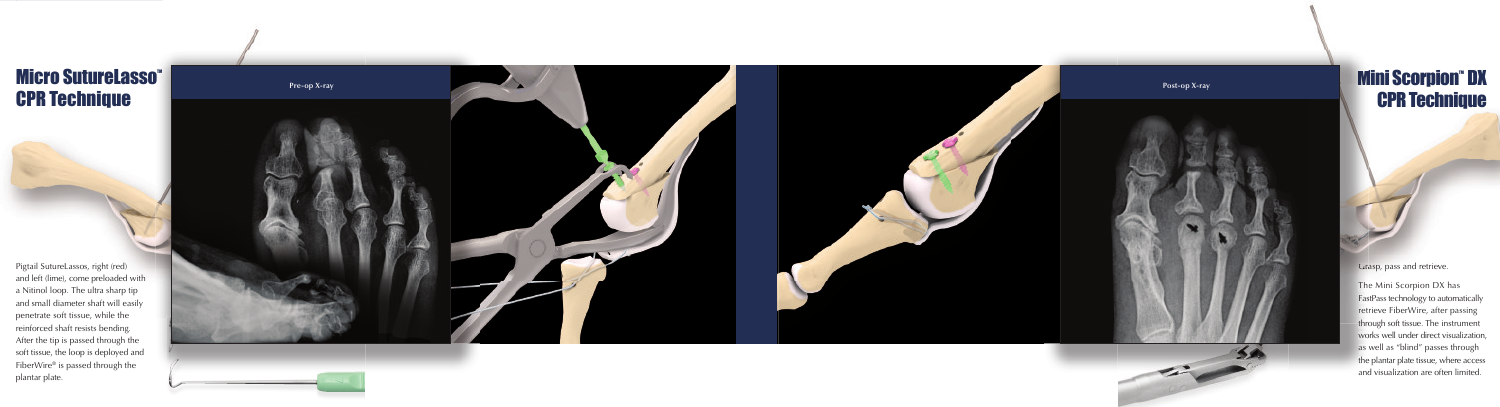## **Micro SutureLasso CPR Technique**

Pigtail SutureLassos, right (red) and left (lime), come preloaded with a Nitinol loop. The ultra sharp tip and small diameter shaft will easily penetrate soft tissue, while the reinforced shaft resists bending. After the tip is passed through the soft tissue, the loop is deployed and FiberWire® is passed through the plantar plate.



## **Mini Scorpion" DX CPR Technique**

Grasp, pass and retrieve.

The Mini Scorpion DX has FastPass technology to automatically retrieve FiberWire, after passing through soft tissue. The instrument works well under direct visualization, as well as "blind" passes through the plantar plate tissue, where access and visualization are often limited.